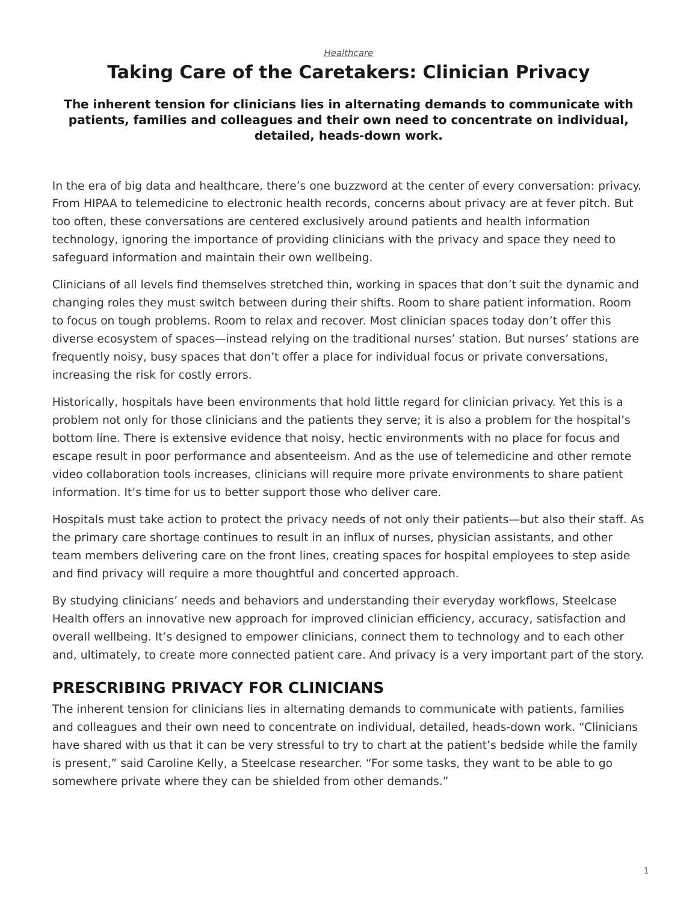#### *[Healthcare](https://www.steelcase.com/research/topics/healthcare/)*

# <span id="page-0-0"></span>**Taking Care of the Caretakers: Clinician Privacy**

#### **The inherent tension for clinicians lies in alternating demands to communicate with patients, families and colleagues and their own need to concentrate on individual, detailed, heads-down work.**

In the era of big data and healthcare, there's one buzzword at the center of every conversation: privacy. From HIPAA to telemedicine to electronic health records, concerns about privacy are at fever pitch. But too often, these conversations are centered exclusively around patients and health information technology, ignoring the importance of providing clinicians with the privacy and space they need to safeguard information and maintain their own wellbeing.

Clinicians of all levels find themselves stretched thin, working in spaces that don't suit the dynamic and changing roles they must switch between during their shifts. Room to share patient information. Room to focus on tough problems. Room to relax and recover. Most clinician spaces today don't offer this diverse ecosystem of spaces—instead relying on the traditional nurses' station. But nurses' stations are frequently noisy, busy spaces that don't offer a place for individual focus or private conversations, increasing the risk for costly errors.

Historically, hospitals have been environments that hold little regard for clinician privacy. Yet this is a problem not only for those clinicians and the patients they serve; it is also a problem for the hospital's bottom line. There is extensive evidence that noisy, hectic environments with no place for focus and escape result in poor performance and absenteeism. And as the use of telemedicine and other remote video collaboration tools increases, clinicians will require more private environments to share patient information. It's time for us to better support those who deliver care.

Hospitals must take action to protect the privacy needs of not only their patients—but also their staff. As the primary care shortage continues to result in an influx of nurses, physician assistants, and other team members delivering care on the front lines, creating spaces for hospital employees to step aside and find privacy will require a more thoughtful and concerted approach.

By studying clinicians' needs and behaviors and understanding their everyday workflows, Steelcase Health offers an innovative new approach for improved clinician efficiency, accuracy, satisfaction and overall wellbeing. It's designed to empower clinicians, connect them to technology and to each other and, ultimately, to create more connected patient care. And privacy is a very important part of the story.

# **PRESCRIBING PRIVACY FOR CLINICIANS**

The inherent tension for clinicians lies in alternating demands to communicate with patients, families and colleagues and their own need to concentrate on individual, detailed, heads-down work. "Clinicians have shared with us that it can be very stressful to try to chart at the patient's bedside while the family is present," said Caroline Kelly, a Steelcase researcher. "For some tasks, they want to be able to go somewhere private where they can be shielded from other demands."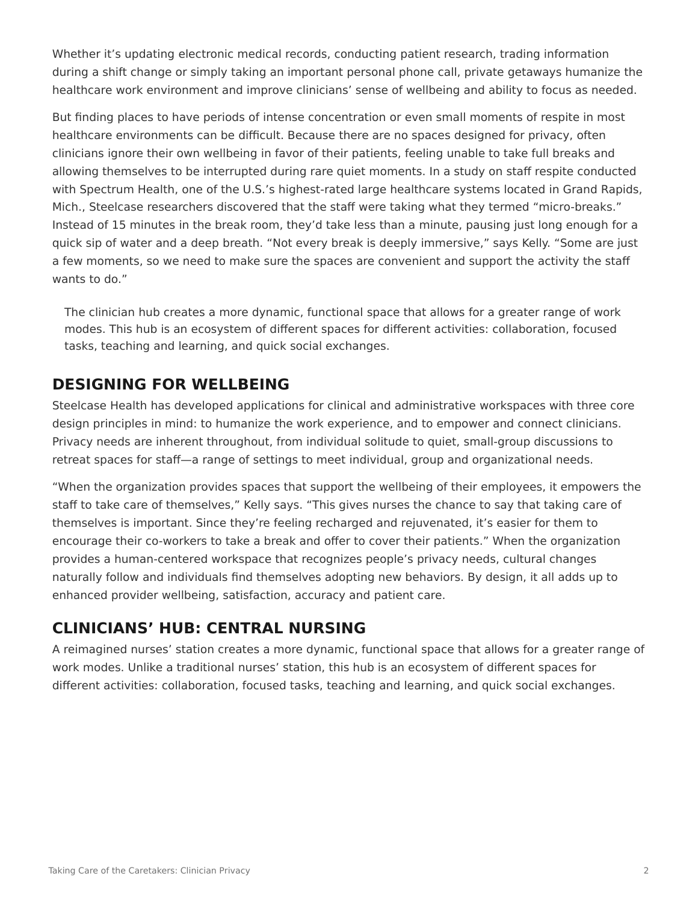Whether it's updating electronic medical records, conducting patient research, trading information during a shift change or simply taking an important personal phone call, private getaways humanize the healthcare work environment and improve clinicians' sense of wellbeing and ability to focus as needed.

But finding places to have periods of intense concentration or even small moments of respite in most healthcare environments can be difficult. Because there are no spaces designed for privacy, often clinicians ignore their own wellbeing in favor of their patients, feeling unable to take full breaks and allowing themselves to be interrupted during rare quiet moments. In a study on staff respite conducted with Spectrum Health, one of the U.S.'s highest-rated large healthcare systems located in Grand Rapids, Mich., Steelcase researchers discovered that the staff were taking what they termed "micro-breaks." Instead of 15 minutes in the break room, they'd take less than a minute, pausing just long enough for a quick sip of water and a deep breath. "Not every break is deeply immersive," says Kelly. "Some are just a few moments, so we need to make sure the spaces are convenient and support the activity the staff wants to do."

The clinician hub creates a more dynamic, functional space that allows for a greater range of work modes. This hub is an ecosystem of different spaces for different activities: collaboration, focused tasks, teaching and learning, and quick social exchanges.

# **DESIGNING FOR WELLBEING**

Steelcase Health has developed applications for clinical and administrative workspaces with three core design principles in mind: to humanize the work experience, and to empower and connect clinicians. Privacy needs are inherent throughout, from individual solitude to quiet, small-group discussions to retreat spaces for staff—a range of settings to meet individual, group and organizational needs.

"When the organization provides spaces that support the wellbeing of their employees, it empowers the staff to take care of themselves," Kelly says. "This gives nurses the chance to say that taking care of themselves is important. Since they're feeling recharged and rejuvenated, it's easier for them to encourage their co-workers to take a break and offer to cover their patients." When the organization provides a human-centered workspace that recognizes people's privacy needs, cultural changes naturally follow and individuals find themselves adopting new behaviors. By design, it all adds up to enhanced provider wellbeing, satisfaction, accuracy and patient care.

# **CLINICIANS' HUB: CENTRAL NURSING**

A reimagined nurses' station creates a more dynamic, functional space that allows for a greater range of work modes. Unlike a traditional nurses' station, this hub is an ecosystem of different spaces for different activities: collaboration, focused tasks, teaching and learning, and quick social exchanges.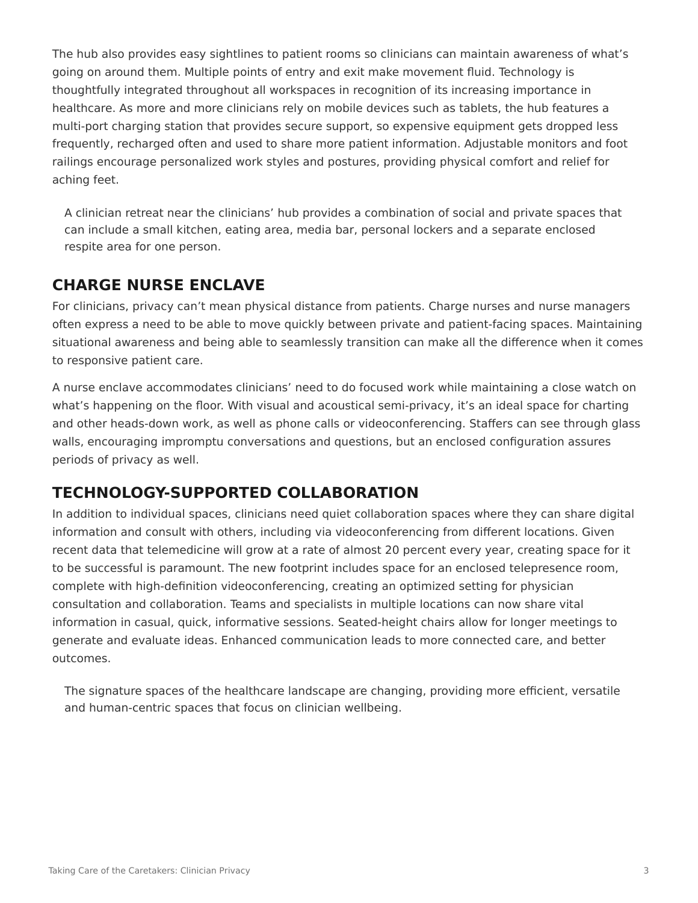The hub also provides easy sightlines to patient rooms so clinicians can maintain awareness of what's going on around them. Multiple points of entry and exit make movement fluid. Technology is thoughtfully integrated throughout all workspaces in recognition of its increasing importance in healthcare. As more and more clinicians rely on mobile devices such as tablets, the hub features a multi-port charging station that provides secure support, so expensive equipment gets dropped less frequently, recharged often and used to share more patient information. Adjustable monitors and foot railings encourage personalized work styles and postures, providing physical comfort and relief for aching feet.

A clinician retreat near the clinicians' hub provides a combination of social and private spaces that can include a small kitchen, eating area, media bar, personal lockers and a separate enclosed respite area for one person.

#### **CHARGE NURSE ENCLAVE**

For clinicians, privacy can't mean physical distance from patients. Charge nurses and nurse managers often express a need to be able to move quickly between private and patient-facing spaces. Maintaining situational awareness and being able to seamlessly transition can make all the difference when it comes to responsive patient care.

A nurse enclave accommodates clinicians' need to do focused work while maintaining a close watch on what's happening on the floor. With visual and acoustical semi-privacy, it's an ideal space for charting and other heads-down work, as well as phone calls or videoconferencing. Staffers can see through glass walls, encouraging impromptu conversations and questions, but an enclosed configuration assures periods of privacy as well.

### **TECHNOLOGY-SUPPORTED COLLABORATION**

In addition to individual spaces, clinicians need quiet collaboration spaces where they can share digital information and consult with others, including via videoconferencing from different locations. Given recent data that telemedicine will grow at a rate of almost 20 percent every year, creating space for it to be successful is paramount. The new footprint includes space for an enclosed telepresence room, complete with high-definition videoconferencing, creating an optimized setting for physician consultation and collaboration. Teams and specialists in multiple locations can now share vital information in casual, quick, informative sessions. Seated-height chairs allow for longer meetings to generate and evaluate ideas. Enhanced communication leads to more connected care, and better outcomes.

The signature spaces of the healthcare landscape are changing, providing more efficient, versatile and human-centric spaces that focus on clinician wellbeing.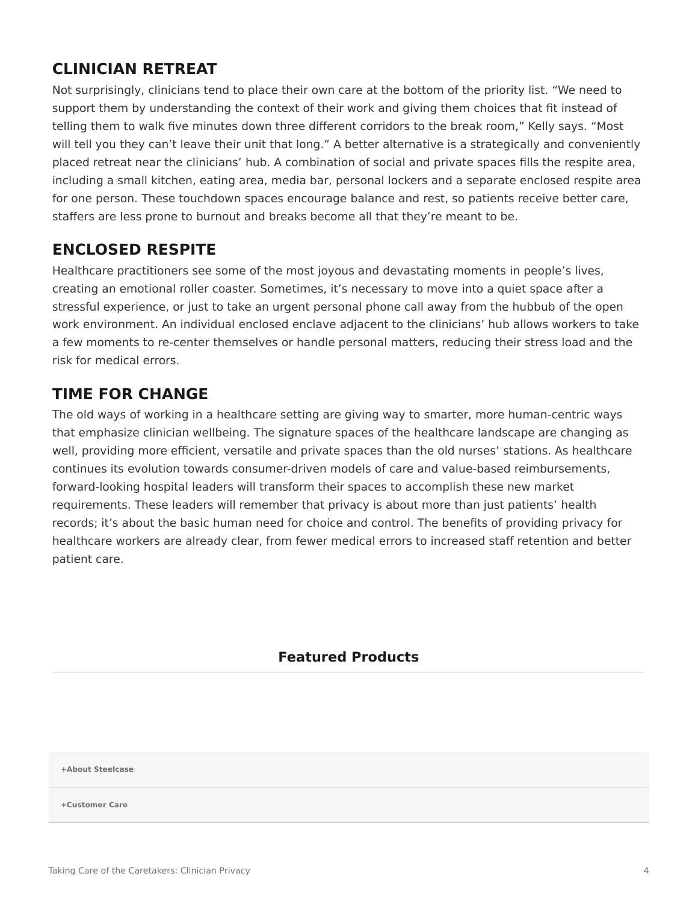### **CLINICIAN RETREAT**

Not surprisingly, clinicians tend to place their own care at the bottom of the priority list. "We need to support them by understanding the context of their work and giving them choices that fit instead of telling them to walk five minutes down three different corridors to the break room," Kelly says. "Most will tell you they can't leave their unit that long." A better alternative is a strategically and conveniently placed retreat near the clinicians' hub. A combination of social and private spaces fills the respite area, including a small kitchen, eating area, media bar, personal lockers and a separate enclosed respite area for one person. These touchdown spaces encourage balance and rest, so patients receive better care, staffers are less prone to burnout and breaks become all that they're meant to be.

# **ENCLOSED RESPITE**

Healthcare practitioners see some of the most joyous and devastating moments in people's lives, creating an emotional roller coaster. Sometimes, it's necessary to move into a quiet space after a stressful experience, or just to take an urgent personal phone call away from the hubbub of the open work environment. An individual enclosed enclave adjacent to the clinicians' hub allows workers to take a few moments to re-center themselves or handle personal matters, reducing their stress load and the risk for medical errors.

# **TIME FOR CHANGE**

The old ways of working in a healthcare setting are giving way to smarter, more human-centric ways that emphasize clinician wellbeing. The signature spaces of the healthcare landscape are changing as well, providing more efficient, versatile and private spaces than the old nurses' stations. As healthcare continues its evolution towards consumer-driven models of care and value-based reimbursements, forward-looking hospital leaders will transform their spaces to accomplish these new market requirements. These leaders will remember that privacy is about more than just patients' health records; it's about the basic human need for choice and control. The benefits of providing privacy for healthcare workers are already clear, from fewer medical errors to increased staff retention and better patient care.

#### **Featured Products**

**[+About Steelcase](https://www.steelcase.com/discover/steelcase/our-company/)**

**[+Customer Care](#page-0-0)**